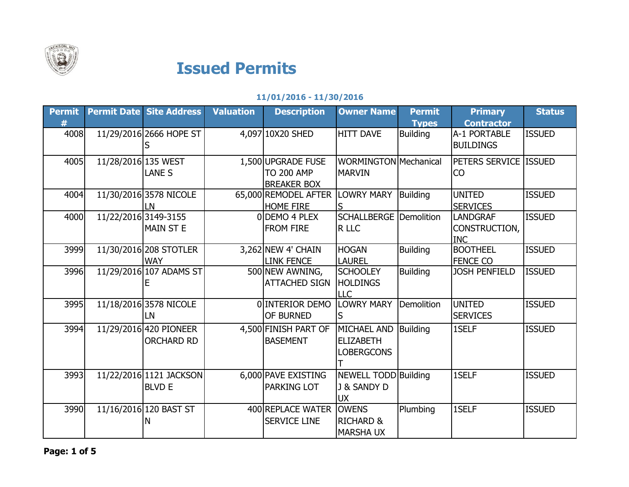

## Issued Permits

## 11/01/2016 - 11/30/2016

| <b>Permit</b><br># |                      | <b>Permit Date Site Address</b>             | <b>Valuation</b> | <b>Description</b>                                            | <b>Owner Name</b>                                       | <b>Permit</b><br><b>Types</b> | <b>Primary</b><br><b>Contractor</b>            | <b>Status</b> |
|--------------------|----------------------|---------------------------------------------|------------------|---------------------------------------------------------------|---------------------------------------------------------|-------------------------------|------------------------------------------------|---------------|
| 4008               |                      | 11/29/2016 2666 HOPE ST                     |                  | 4,097 10X20 SHED                                              | <b>HITT DAVE</b>                                        | <b>Building</b>               | A-1 PORTABLE<br><b>BUILDINGS</b>               | <b>ISSUED</b> |
| 4005               | 11/28/2016 135 WEST  | <b>LANE S</b>                               |                  | 1,500 UPGRADE FUSE<br><b>TO 200 AMP</b><br><b>BREAKER BOX</b> | WORMINGTON Mechanical<br><b>MARVIN</b>                  |                               | PETERS SERVICE ISSUED<br>CO                    |               |
| 4004               |                      | 11/30/2016 3578 NICOLE<br>LN                |                  | 65,000 REMODEL AFTER<br><b>HOME FIRE</b>                      | <b>LOWRY MARY</b>                                       | Building                      | <b>UNITED</b><br><b>SERVICES</b>               | <b>ISSUED</b> |
| 4000               | 11/22/2016 3149-3155 | <b>MAIN ST E</b>                            |                  | 0DEMO 4 PLEX<br><b>FROM FIRE</b>                              | <b>SCHALLBERGE</b> Demolition<br>R LLC                  |                               | <b>LANDGRAF</b><br>CONSTRUCTION,<br><b>INC</b> | <b>ISSUED</b> |
| 3999               |                      | 11/30/2016 208 STOTLER<br><b>WAY</b>        |                  | $3,262$ NEW 4' CHAIN<br><b>LINK FENCE</b>                     | <b>HOGAN</b><br><b>LAUREL</b>                           | <b>Building</b>               | <b>BOOTHEEL</b><br><b>FENCE CO</b>             | <b>ISSUED</b> |
| 3996               |                      | 11/29/2016 107 ADAMS ST                     |                  | 500 NEW AWNING,<br><b>ATTACHED SIGN</b>                       | <b>SCHOOLEY</b><br><b>HOLDINGS</b><br><b>LLC</b>        | <b>Building</b>               | <b>JOSH PENFIELD</b>                           | <b>ISSUED</b> |
| 3995               |                      | 11/18/2016 3578 NICOLE<br>LN                |                  | 0 INTERIOR DEMO<br><b>OF BURNED</b>                           | <b>LOWRY MARY</b><br>S                                  | Demolition                    | <b>UNITED</b><br><b>SERVICES</b>               | <b>ISSUED</b> |
| 3994               |                      | 11/29/2016 420 PIONEER<br><b>ORCHARD RD</b> |                  | 4,500 FINISH PART OF<br><b>BASEMENT</b>                       | MICHAEL AND<br><b>ELIZABETH</b><br><b>LOBERGCONS</b>    | Building                      | 1SELF                                          | <b>ISSUED</b> |
| 3993               |                      | 11/22/2016 1121 JACKSON<br><b>BLVD E</b>    |                  | 6,000 PAVE EXISTING<br><b>PARKING LOT</b>                     | <b>NEWELL TODD Building</b><br>J & SANDY D<br><b>UX</b> |                               | 1SELF                                          | <b>ISSUED</b> |
| 3990               |                      | 11/16/2016 120 BAST ST<br>N                 |                  | 400 REPLACE WATER<br><b>SERVICE LINE</b>                      | <b>OWENS</b><br><b>RICHARD &amp;</b><br><b>MARSHAUX</b> | Plumbing                      | 1SELF                                          | <b>ISSUED</b> |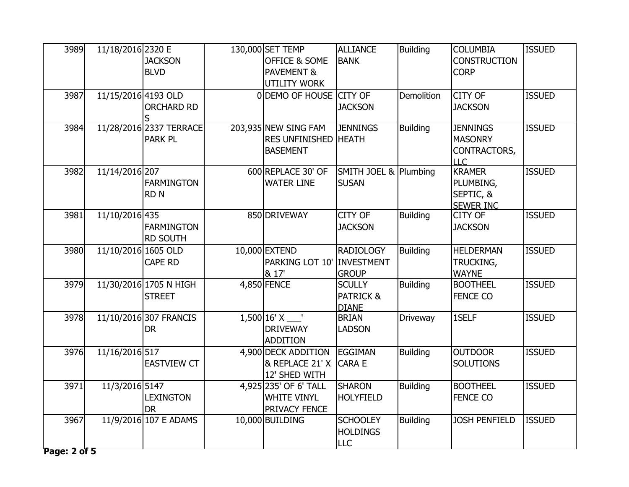| 3989<br>3987         | 11/18/2016 2320 E<br>11/15/2016 4193 OLD | <b>JACKSON</b><br><b>BLVD</b><br><b>ORCHARD RD</b> | 130,000 SET TEMP<br><b>OFFICE &amp; SOME</b><br><b>PAVEMENT &amp;</b><br><b>UTILITY WORK</b><br>0 DEMO OF HOUSE CITY OF | <b>ALLIANCE</b><br><b>BANK</b><br><b>JACKSON</b>      | <b>Building</b><br>Demolition | <b>COLUMBIA</b><br><b>CONSTRUCTION</b><br><b>CORP</b><br><b>CITY OF</b><br><b>JACKSON</b> | <b>ISSUED</b><br><b>ISSUED</b> |
|----------------------|------------------------------------------|----------------------------------------------------|-------------------------------------------------------------------------------------------------------------------------|-------------------------------------------------------|-------------------------------|-------------------------------------------------------------------------------------------|--------------------------------|
| 3984                 |                                          | 11/28/2016 2337 TERRACE<br><b>PARK PL</b>          | 203,935 NEW SING FAM<br><b>RES UNFINISHED HEATH</b><br><b>BASEMENT</b>                                                  | <b>JENNINGS</b>                                       | <b>Building</b>               | <b>JENNINGS</b><br>MASONRY<br>CONTRACTORS,<br><b>LLC</b>                                  | <b>ISSUED</b>                  |
| 3982                 | 11/14/2016 207                           | <b>FARMINGTON</b><br><b>RDN</b>                    | 600 REPLACE 30' OF<br><b>WATER LINE</b>                                                                                 | SMITH JOEL & Plumbing<br><b>SUSAN</b>                 |                               | <b>KRAMER</b><br>PLUMBING,<br>SEPTIC, &<br><b>SEWER INC</b>                               | <b>ISSUED</b>                  |
| 3981                 | 11/10/2016 435                           | <b>FARMINGTON</b><br><b>RD SOUTH</b>               | 850 DRIVEWAY                                                                                                            | CITY OF<br><b>JACKSON</b>                             | <b>Building</b>               | <b>CITY OF</b><br><b>JACKSON</b>                                                          | <b>ISSUED</b>                  |
| 3980                 | 11/10/2016 1605 OLD                      | <b>CAPE RD</b>                                     | 10,000 EXTEND<br>PARKING LOT 10'<br>& 17'                                                                               | <b>RADIOLOGY</b><br><b>INVESTMENT</b><br><b>GROUP</b> | <b>Building</b>               | <b>HELDERMAN</b><br>TRUCKING,<br><b>WAYNE</b>                                             | <b>ISSUED</b>                  |
| 3979                 |                                          | 11/30/2016 1705 N HIGH<br><b>STREET</b>            | 4,850 FENCE                                                                                                             | <b>SCULLY</b><br><b>PATRICK &amp;</b><br><b>DIANE</b> | <b>Building</b>               | <b>BOOTHEEL</b><br><b>FENCE CO</b>                                                        | <b>ISSUED</b>                  |
| 3978                 |                                          | 11/10/2016 307 FRANCIS<br><b>DR</b>                | $1,500$ $16'$ X $\_\_$<br><b>DRIVEWAY</b><br>ADDITION                                                                   | <b>BRIAN</b><br><b>LADSON</b>                         | Driveway                      | 1SELF                                                                                     | <b>ISSUED</b>                  |
| 3976                 | 11/16/2016 517                           | <b>EASTVIEW CT</b>                                 | 4,900 DECK ADDITION EGGIMAN<br>& REPLACE 21' X<br>12' SHED WITH                                                         | <b>CARA E</b>                                         | <b>Building</b>               | <b>OUTDOOR</b><br><b>SOLUTIONS</b>                                                        | <b>ISSUED</b>                  |
| 3971                 | 11/3/2016 5147                           | <b>LEXINGTON</b><br><b>DR</b>                      | 4,925 235' OF 6' TALL<br><b>WHITE VINYL</b><br><b>PRIVACY FENCE</b>                                                     | <b>SHARON</b><br><b>HOLYFIELD</b>                     | <b>Building</b>               | <b>BOOTHEEL</b><br><b>FENCE CO</b>                                                        | <b>ISSUED</b>                  |
| 3967<br>Page: 2 of 5 |                                          | 11/9/2016 107 E ADAMS                              | 10,000 BUILDING                                                                                                         | <b>SCHOOLEY</b><br><b>HOLDINGS</b><br><b>LLC</b>      | <b>Building</b>               | <b>JOSH PENFIELD</b>                                                                      | <b>ISSUED</b>                  |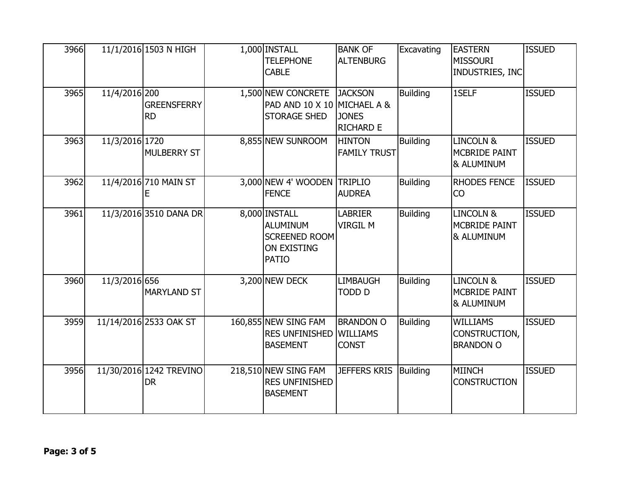| 3966 |                | 11/1/2016 1503 N HIGH                | 1,000 INSTALL<br><b>TELEPHONE</b><br><b>CABLE</b>                                       | <b>BANK OF</b><br><b>ALTENBURG</b>                  | Excavating      | <b>EASTERN</b><br><b>MISSOURI</b><br>INDUSTRIES, INC       | <b>ISSUED</b> |
|------|----------------|--------------------------------------|-----------------------------------------------------------------------------------------|-----------------------------------------------------|-----------------|------------------------------------------------------------|---------------|
| 3965 | 11/4/2016 200  | <b>GREENSFERRY</b><br><b>RD</b>      | 1,500 NEW CONCRETE<br>PAD AND 10 X 10 MICHAEL A &<br><b>STORAGE SHED</b>                | <b>JACKSON</b><br><b>JONES</b><br><b>RICHARD E</b>  | <b>Building</b> | 1SELF                                                      | <b>ISSUED</b> |
| 3963 | 11/3/2016 1720 | <b>MULBERRY ST</b>                   | 8,855 NEW SUNROOM                                                                       | <b>HINTON</b><br><b>FAMILY TRUST</b>                | <b>Building</b> | <b>LINCOLN &amp;</b><br><b>MCBRIDE PAINT</b><br>& ALUMINUM | <b>ISSUED</b> |
| 3962 |                | 11/4/2016 710 MAIN ST<br>E           | 3,000 NEW 4' WOODEN<br><b>FENCE</b>                                                     | <b>TRIPLIO</b><br><b>AUDREA</b>                     | <b>Building</b> | <b>RHODES FENCE</b><br><b>CO</b>                           | <b>ISSUED</b> |
| 3961 |                | 11/3/2016 3510 DANA DR               | 8,000 INSTALL<br>ALUMINUM<br><b>SCREENED ROOM</b><br><b>ON EXISTING</b><br><b>PATIO</b> | <b>LABRIER</b><br><b>VIRGIL M</b>                   | <b>Building</b> | <b>LINCOLN &amp;</b><br>MCBRIDE PAINT<br>& ALUMINUM        | <b>ISSUED</b> |
| 3960 | 11/3/2016 656  | <b>MARYLAND ST</b>                   | 3,200 NEW DECK                                                                          | <b>LIMBAUGH</b><br><b>TODD D</b>                    | <b>Building</b> | <b>LINCOLN &amp;</b><br><b>MCBRIDE PAINT</b><br>& ALUMINUM | <b>ISSUED</b> |
| 3959 |                | 11/14/2016 2533 OAK ST               | 160,855 NEW SING FAM<br><b>RES UNFINISHED</b><br><b>BASEMENT</b>                        | <b>BRANDON O</b><br><b>WILLIAMS</b><br><b>CONST</b> | <b>Building</b> | <b>WILLIAMS</b><br>CONSTRUCTION,<br><b>BRANDON O</b>       | <b>ISSUED</b> |
| 3956 |                | 11/30/2016 1242 TREVINO<br><b>DR</b> | 218,510 NEW SING FAM<br><b>RES UNFINISHED</b><br><b>BASEMENT</b>                        | <b>JEFFERS KRIS</b>                                 | <b>Building</b> | <b>MIINCH</b><br><b>CONSTRUCTION</b>                       | <b>ISSUED</b> |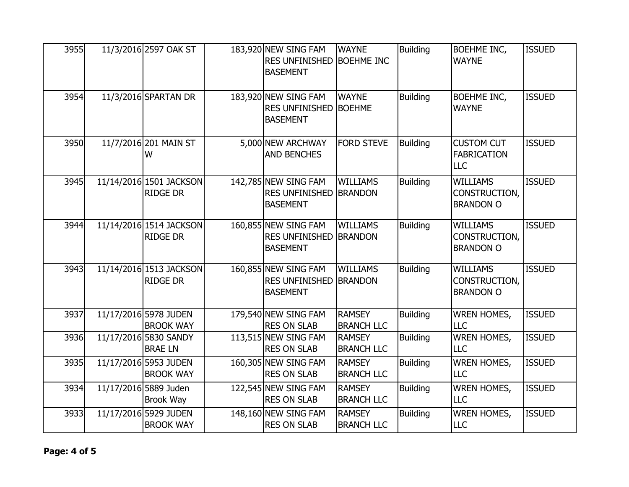| 3955 | 11/3/2016 2597 OAK ST                      | 183,920 NEW SING FAM<br><b>RES UNFINISHED</b><br><b>BASEMENT</b> | <b>WAYNE</b><br><b>BOEHME INC</b>  | <b>Building</b> | <b>BOEHME INC,</b><br><b>WAYNE</b>                    | <b>ISSUED</b> |
|------|--------------------------------------------|------------------------------------------------------------------|------------------------------------|-----------------|-------------------------------------------------------|---------------|
| 3954 | 11/3/2016 SPARTAN DR                       | 183,920 NEW SING FAM<br><b>RES UNFINISHED</b><br><b>BASEMENT</b> | <b>WAYNE</b><br><b>BOEHME</b>      | <b>Building</b> | <b>BOEHME INC,</b><br><b>WAYNE</b>                    | <b>ISSUED</b> |
| 3950 | 11/7/2016 201 MAIN ST<br>W                 | 5,000 NEW ARCHWAY<br><b>AND BENCHES</b>                          | <b>FORD STEVE</b>                  | <b>Building</b> | <b>CUSTOM CUT</b><br><b>FABRICATION</b><br><b>LLC</b> | <b>ISSUED</b> |
| 3945 | 11/14/2016 1501 JACKSON<br><b>RIDGE DR</b> | 142,785 NEW SING FAM<br><b>RES UNFINISHED</b><br><b>BASEMENT</b> | <b>WILLIAMS</b><br><b>BRANDON</b>  | <b>Building</b> | <b>WILLIAMS</b><br>CONSTRUCTION,<br><b>BRANDON O</b>  | <b>ISSUED</b> |
| 3944 | 11/14/2016 1514 JACKSON<br><b>RIDGE DR</b> | 160,855 NEW SING FAM<br><b>RES UNFINISHED</b><br><b>BASEMENT</b> | <b>WILLIAMS</b><br><b>BRANDON</b>  | <b>Building</b> | <b>WILLIAMS</b><br>CONSTRUCTION,<br><b>BRANDON O</b>  | <b>ISSUED</b> |
| 3943 | 11/14/2016 1513 JACKSON<br><b>RIDGE DR</b> | 160,855 NEW SING FAM<br><b>RES UNFINISHED</b><br><b>BASEMENT</b> | <b>WILLIAMS</b><br><b>BRANDON</b>  | <b>Building</b> | <b>WILLIAMS</b><br>CONSTRUCTION,<br><b>BRANDON O</b>  | <b>ISSUED</b> |
| 3937 | 11/17/2016 5978 JUDEN<br><b>BROOK WAY</b>  | 179,540 NEW SING FAM<br><b>RES ON SLAB</b>                       | <b>RAMSEY</b><br><b>BRANCH LLC</b> | <b>Building</b> | <b>WREN HOMES,</b><br>LLC                             | <b>ISSUED</b> |
| 3936 | 11/17/2016 5830 SANDY<br><b>BRAE LN</b>    | 113,515 NEW SING FAM<br><b>RES ON SLAB</b>                       | <b>RAMSEY</b><br><b>BRANCH LLC</b> | <b>Building</b> | <b>WREN HOMES,</b><br><b>LLC</b>                      | <b>ISSUED</b> |
| 3935 | 11/17/2016 5953 JUDEN<br><b>BROOK WAY</b>  | 160,305 NEW SING FAM<br><b>RES ON SLAB</b>                       | <b>RAMSEY</b><br><b>BRANCH LLC</b> | <b>Building</b> | <b>WREN HOMES,</b><br>LLC                             | <b>ISSUED</b> |
| 3934 | 11/17/2016 5889 Juden<br><b>Brook Way</b>  | 122,545 NEW SING FAM<br><b>RES ON SLAB</b>                       | <b>RAMSEY</b><br><b>BRANCH LLC</b> | <b>Building</b> | <b>WREN HOMES,</b><br><b>LLC</b>                      | <b>ISSUED</b> |
| 3933 | 11/17/2016 5929 JUDEN<br><b>BROOK WAY</b>  | 148,160 NEW SING FAM<br><b>RES ON SLAB</b>                       | <b>RAMSEY</b><br><b>BRANCH LLC</b> | <b>Building</b> | <b>WREN HOMES,</b><br><b>LLC</b>                      | <b>ISSUED</b> |